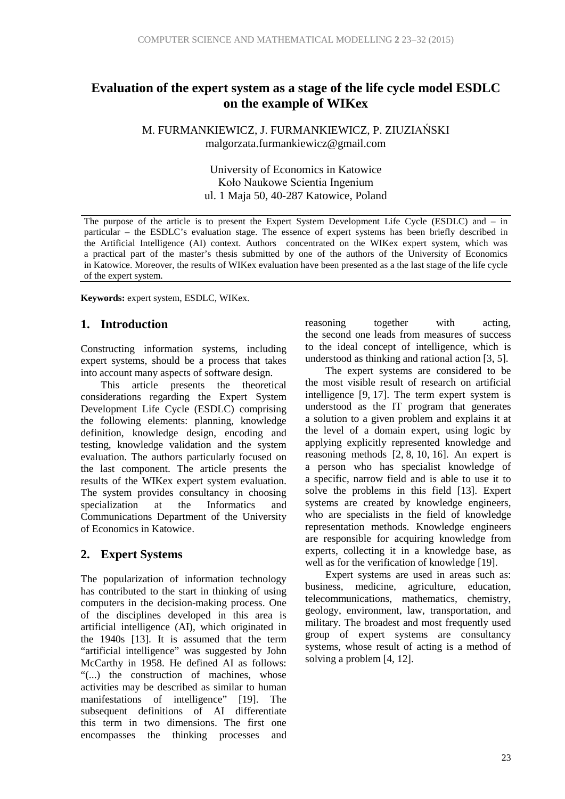### **Evaluation of the expert system as a stage of the life cycle model ESDLC on the example of WIKex**

M. FURMANKIEWICZ, J. FURMANKIEWICZ, P. ZIUZIAŃSKI malgorzata.furmankiewicz@gmail.com

> University of Economics in Katowice Koło Naukowe Scientia Ingenium ul. 1 Maja 50, 40-287 Katowice, Poland

The purpose of the article is to present the Expert System Development Life Cycle (ESDLC) and – in particular – the ESDLC's evaluation stage. The essence of expert systems has been briefly described in the Artificial Intelligence (AI) context. Authors concentrated on the WIKex expert system, which was a practical part of the master's thesis submitted by one of the authors of the University of Economics in Katowice. Moreover, the results of WIKex evaluation have been presented as a the last stage of the life cycle of the expert system.

**Keywords:** expert system, ESDLC, WIKex.

#### **1. Introduction**

Constructing information systems, including expert systems, should be a process that takes into account many aspects of software design.

This article presents the theoretical considerations regarding the Expert System Development Life Cycle (ESDLC) comprising the following elements: planning, knowledge definition, knowledge design, encoding and testing, knowledge validation and the system evaluation. The authors particularly focused on the last component. The article presents the results of the WIKex expert system evaluation. The system provides consultancy in choosing<br>specialization at the Informatics and specialization at the Informatics and Communications Department of the University of Economics in Katowice.

#### **2. Expert Systems**

The popularization of information technology has contributed to the start in thinking of using computers in the decision-making process. One of the disciplines developed in this area is artificial intelligence (AI), which originated in the 1940s [13]. It is assumed that the term "artificial intelligence" was suggested by John McCarthy in 1958. He defined AI as follows: "(...) the construction of machines, whose activities may be described as similar to human manifestations of intelligence" [19]. The subsequent definitions of AI differentiate this term in two dimensions. The first one encompasses the thinking processes and reasoning together with acting, the second one leads from measures of success to the ideal concept of intelligence, which is understood as thinking and rational action [3, 5].

The expert systems are considered to be the most visible result of research on artificial intelligence [9, 17]. The term expert system is understood as the IT program that generates a solution to a given problem and explains it at the level of a domain expert, using logic by applying explicitly represented knowledge and reasoning methods [2, 8, 10, 16]. An expert is a person who has specialist knowledge of a specific, narrow field and is able to use it to solve the problems in this field [13]. Expert systems are created by knowledge engineers, who are specialists in the field of knowledge representation methods. Knowledge engineers are responsible for acquiring knowledge from experts, collecting it in a knowledge base, as well as for the verification of knowledge [19].

Expert systems are used in areas such as: business, medicine, agriculture, education, telecommunications, mathematics, chemistry, geology, environment, law, transportation, and military. The broadest and most frequently used group of expert systems are consultancy systems, whose result of acting is a method of solving a problem [4, 12].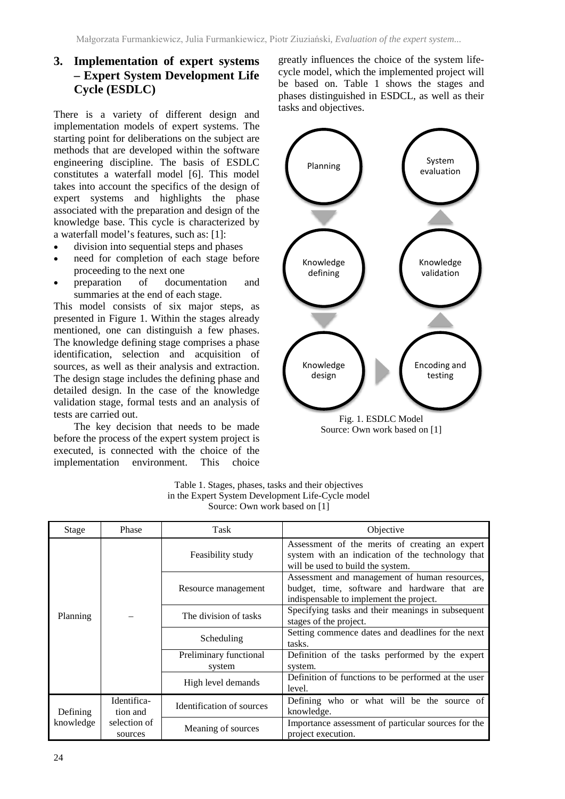### **3. Implementation of expert systems – Expert System Development Life Cycle (ESDLC)**

There is a variety of different design and implementation models of expert systems. The starting point for deliberations on the subject are methods that are developed within the software engineering discipline. The basis of ESDLC constitutes a waterfall model [6]. This model takes into account the specifics of the design of expert systems and highlights the phase associated with the preparation and design of the knowledge base. This cycle is characterized by a waterfall model's features, such as: [1]:

- division into sequential steps and phases
- need for completion of each stage before proceeding to the next one
- preparation of documentation and summaries at the end of each stage.

This model consists of six major steps, as presented in Figure 1. Within the stages already mentioned, one can distinguish a few phases. The knowledge defining stage comprises a phase identification, selection and acquisition of sources, as well as their analysis and extraction. The design stage includes the defining phase and detailed design. In the case of the knowledge validation stage, formal tests and an analysis of tests are carried out.

The key decision that needs to be made before the process of the expert system project is executed, is connected with the choice of the implementation environment. This choice

greatly influences the choice of the system lifecycle model, which the implemented project will be based on. Table 1 shows the stages and phases distinguished in ESDCL, as well as their tasks and objectives.



Source: Own work based on [1]

| SOUICE: OWII WOIK DASEG OIL LE |                                                    |                                  |                                                                                                                                          |  |  |  |  |  |
|--------------------------------|----------------------------------------------------|----------------------------------|------------------------------------------------------------------------------------------------------------------------------------------|--|--|--|--|--|
| Stage                          | Phase                                              | Task                             | Objective                                                                                                                                |  |  |  |  |  |
| Planning                       |                                                    | Feasibility study                | Assessment of the merits of creating an expert<br>system with an indication of the technology that<br>will be used to build the system.  |  |  |  |  |  |
|                                |                                                    | Resource management              | Assessment and management of human resources,<br>budget, time, software and hardware that are<br>indispensable to implement the project. |  |  |  |  |  |
|                                |                                                    | The division of tasks            | Specifying tasks and their meanings in subsequent<br>stages of the project.                                                              |  |  |  |  |  |
|                                |                                                    | Scheduling                       | Setting commence dates and deadlines for the next<br>tasks.                                                                              |  |  |  |  |  |
|                                |                                                    | Preliminary functional<br>system | Definition of the tasks performed by the expert<br>system.                                                                               |  |  |  |  |  |
|                                |                                                    | High level demands               | Definition of functions to be performed at the user<br>level.                                                                            |  |  |  |  |  |
| Defining<br>knowledge          | Identifica-<br>tion and<br>selection of<br>sources | Identification of sources        | Defining who or what will be the source of<br>knowledge.                                                                                 |  |  |  |  |  |
|                                |                                                    | Meaning of sources               | Importance assessment of particular sources for the<br>project execution.                                                                |  |  |  |  |  |

Table 1. Stages, phases, tasks and their objectives in the Expert System Development Life-Cycle model Source: Own work based on [1]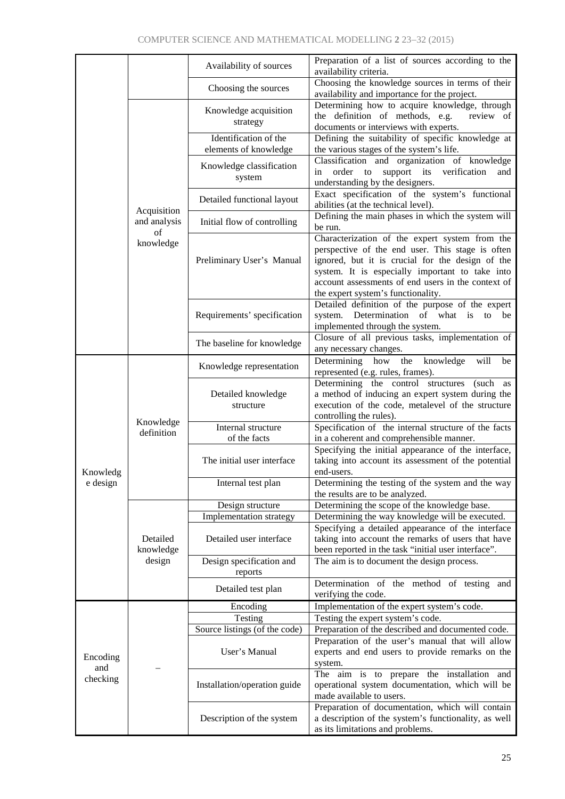|                             |                         | Availability of sources         | Preparation of a list of sources according to the<br>availability criteria.                      |  |  |  |
|-----------------------------|-------------------------|---------------------------------|--------------------------------------------------------------------------------------------------|--|--|--|
|                             |                         | Choosing the sources            | Choosing the knowledge sources in terms of their<br>availability and importance for the project. |  |  |  |
|                             |                         |                                 | Determining how to acquire knowledge, through                                                    |  |  |  |
|                             |                         | Knowledge acquisition           | the definition of methods, e.g.<br>review of                                                     |  |  |  |
|                             |                         | strategy                        | documents or interviews with experts.                                                            |  |  |  |
|                             |                         | Identification of the           | Defining the suitability of specific knowledge at                                                |  |  |  |
|                             |                         | elements of knowledge           | the various stages of the system's life.                                                         |  |  |  |
|                             |                         |                                 | Classification and organization of knowledge                                                     |  |  |  |
|                             |                         | Knowledge classification        | order to support its verification<br>in<br>and                                                   |  |  |  |
|                             |                         | system                          | understanding by the designers.                                                                  |  |  |  |
|                             |                         |                                 | Exact specification of the system's functional                                                   |  |  |  |
|                             |                         | Detailed functional layout      | abilities (at the technical level).                                                              |  |  |  |
|                             | Acquisition             |                                 | Defining the main phases in which the system will                                                |  |  |  |
|                             | and analysis<br>of      | Initial flow of controlling     | be run.                                                                                          |  |  |  |
|                             | knowledge               |                                 | Characterization of the expert system from the                                                   |  |  |  |
|                             |                         |                                 | perspective of the end user. This stage is often                                                 |  |  |  |
|                             |                         | Preliminary User's Manual       | ignored, but it is crucial for the design of the                                                 |  |  |  |
|                             |                         |                                 | system. It is especially important to take into                                                  |  |  |  |
|                             |                         |                                 | account assessments of end users in the context of                                               |  |  |  |
|                             |                         |                                 | the expert system's functionality.                                                               |  |  |  |
|                             |                         |                                 | Detailed definition of the purpose of the expert                                                 |  |  |  |
|                             |                         | Requirements' specification     | system. Determination of what is<br>to be                                                        |  |  |  |
|                             |                         |                                 | implemented through the system.                                                                  |  |  |  |
|                             |                         | The baseline for knowledge      | Closure of all previous tasks, implementation of                                                 |  |  |  |
|                             |                         |                                 | any necessary changes.                                                                           |  |  |  |
|                             |                         | Knowledge representation        | Determining how the<br>knowledge<br>will<br>be                                                   |  |  |  |
|                             | Knowledge<br>definition | Detailed knowledge<br>structure | represented (e.g. rules, frames).                                                                |  |  |  |
|                             |                         |                                 | Determining the control structures<br>(such as                                                   |  |  |  |
|                             |                         |                                 | a method of inducing an expert system during the                                                 |  |  |  |
|                             |                         |                                 | execution of the code, metalevel of the structure                                                |  |  |  |
|                             |                         | Internal structure              | controlling the rules).<br>Specification of the internal structure of the facts                  |  |  |  |
|                             |                         | of the facts                    | in a coherent and comprehensible manner.                                                         |  |  |  |
|                             |                         | The initial user interface      | Specifying the initial appearance of the interface,                                              |  |  |  |
|                             |                         |                                 | taking into account its assessment of the potential                                              |  |  |  |
| Knowledg                    |                         |                                 | end-users.                                                                                       |  |  |  |
| e design                    |                         | Internal test plan              | Determining the testing of the system and the way                                                |  |  |  |
|                             |                         |                                 | the results are to be analyzed.                                                                  |  |  |  |
|                             | Detailed                | Design structure                | Determining the scope of the knowledge base.                                                     |  |  |  |
|                             |                         | Implementation strategy         | Determining the way knowledge will be executed.                                                  |  |  |  |
|                             |                         |                                 | Specifying a detailed appearance of the interface                                                |  |  |  |
|                             |                         | Detailed user interface         | taking into account the remarks of users that have                                               |  |  |  |
|                             | knowledge               |                                 | been reported in the task "initial user interface".                                              |  |  |  |
|                             | design                  | Design specification and        | The aim is to document the design process.                                                       |  |  |  |
|                             |                         | reports                         |                                                                                                  |  |  |  |
|                             |                         | Detailed test plan              | Determination of the method of testing and<br>verifying the code.                                |  |  |  |
|                             |                         | Encoding                        | Implementation of the expert system's code.                                                      |  |  |  |
| Encoding<br>and<br>checking |                         | Testing                         | Testing the expert system's code.                                                                |  |  |  |
|                             |                         | Source listings (of the code)   | Preparation of the described and documented code.                                                |  |  |  |
|                             |                         | User's Manual                   | Preparation of the user's manual that will allow                                                 |  |  |  |
|                             |                         |                                 | experts and end users to provide remarks on the                                                  |  |  |  |
|                             |                         |                                 | system.                                                                                          |  |  |  |
|                             |                         | Installation/operation guide    | The aim is to prepare the installation and                                                       |  |  |  |
|                             |                         |                                 | operational system documentation, which will be                                                  |  |  |  |
|                             |                         |                                 | made available to users.                                                                         |  |  |  |
|                             |                         |                                 | Preparation of documentation, which will contain                                                 |  |  |  |
|                             |                         | Description of the system       | a description of the system's functionality, as well                                             |  |  |  |
|                             |                         |                                 | as its limitations and problems.                                                                 |  |  |  |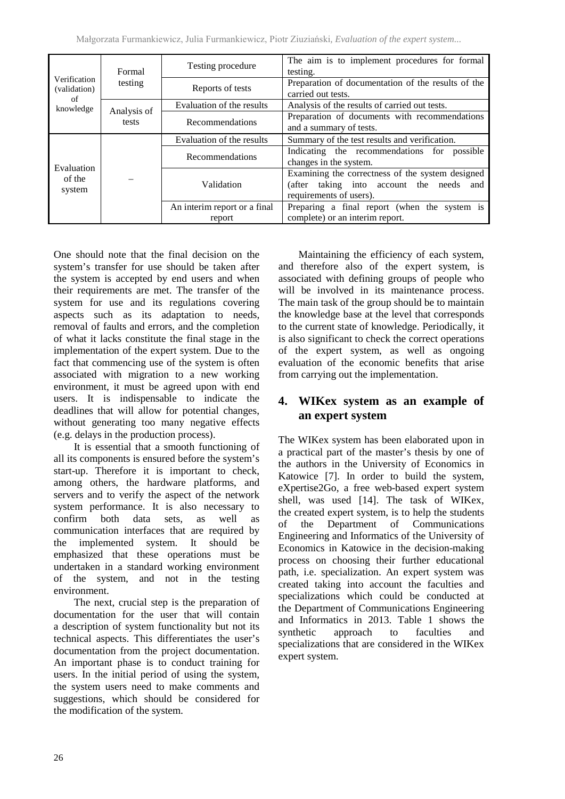|                                                 | Formal      | Testing procedure            | The aim is to implement procedures for formal<br>testing.                                                               |  |  |  |
|-------------------------------------------------|-------------|------------------------------|-------------------------------------------------------------------------------------------------------------------------|--|--|--|
| Verification<br>(validation)<br>of<br>knowledge | testing     | Reports of tests             | Preparation of documentation of the results of the<br>carried out tests.                                                |  |  |  |
|                                                 | Analysis of | Evaluation of the results    | Analysis of the results of carried out tests.                                                                           |  |  |  |
|                                                 | tests       | Recommendations              | Preparation of documents with recommendations<br>and a summary of tests.                                                |  |  |  |
| Evaluation<br>of the<br>system                  |             | Evaluation of the results    | Summary of the test results and verification.                                                                           |  |  |  |
|                                                 |             | Recommendations              | Indicating the recommendations for possible<br>changes in the system.                                                   |  |  |  |
|                                                 |             | Validation                   | Examining the correctness of the system designed<br>(after taking into account the needs and<br>requirements of users). |  |  |  |
|                                                 |             | An interim report or a final | Preparing a final report (when the system is                                                                            |  |  |  |
|                                                 |             | report                       | complete) or an interim report.                                                                                         |  |  |  |

One should note that the final decision on the system's transfer for use should be taken after the system is accepted by end users and when their requirements are met. The transfer of the system for use and its regulations covering aspects such as its adaptation to needs, removal of faults and errors, and the completion of what it lacks constitute the final stage in the implementation of the expert system. Due to the fact that commencing use of the system is often associated with migration to a new working environment, it must be agreed upon with end users. It is indispensable to indicate the deadlines that will allow for potential changes, without generating too many negative effects (e.g. delays in the production process).

It is essential that a smooth functioning of all its components is ensured before the system's start-up. Therefore it is important to check, among others, the hardware platforms, and servers and to verify the aspect of the network system performance. It is also necessary to confirm both data sets, as well as communication interfaces that are required by the implemented system. It should be emphasized that these operations must be undertaken in a standard working environment of the system, and not in the testing environment.

The next, crucial step is the preparation of documentation for the user that will contain a description of system functionality but not its technical aspects. This differentiates the user's documentation from the project documentation. An important phase is to conduct training for users. In the initial period of using the system, the system users need to make comments and suggestions, which should be considered for the modification of the system.

Maintaining the efficiency of each system, and therefore also of the expert system, is associated with defining groups of people who will be involved in its maintenance process. The main task of the group should be to maintain the knowledge base at the level that corresponds to the current state of knowledge. Periodically, it is also significant to check the correct operations of the expert system, as well as ongoing evaluation of the economic benefits that arise from carrying out the implementation.

### **4. WIKex system as an example of an expert system**

The WIKex system has been elaborated upon in a practical part of the master's thesis by one of the authors in the University of Economics in Katowice [7]. In order to build the system, eXpertise2Go, a free web-based expert system shell, was used [14]. The task of WIKex, the created expert system, is to help the students of the Department of Communications Engineering and Informatics of the University of Economics in Katowice in the decision-making process on choosing their further educational path, i.e. specialization. An expert system was created taking into account the faculties and specializations which could be conducted at the Department of Communications Engineering and Informatics in 2013. Table 1 shows the synthetic approach to faculties and specializations that are considered in the WIKex expert system.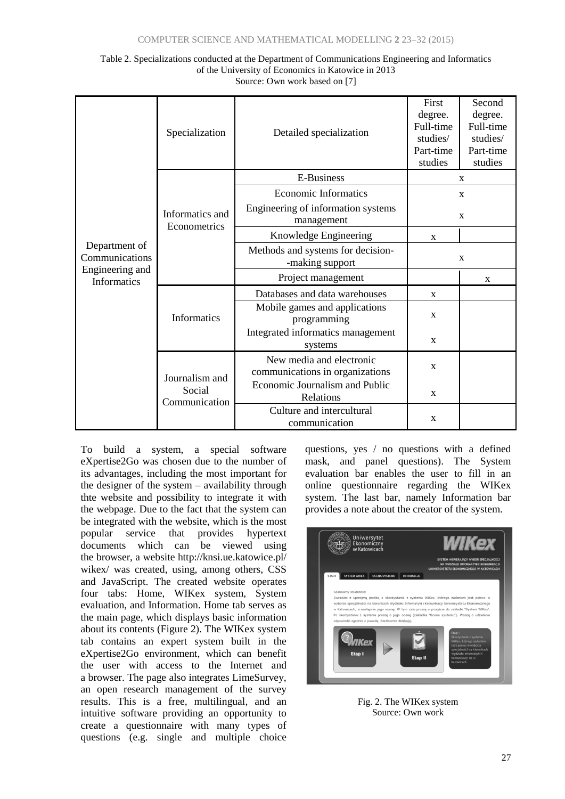| Table 2. Specializations conducted at the Department of Communications Engineering and Informatics |
|----------------------------------------------------------------------------------------------------|
| of the University of Economics in Katowice in 2013                                                 |
| Source: Own work based on [7]                                                                      |

|                                 | Specialization<br>Detailed specialization |                                                             | First<br>degree.<br>Full-time<br>studies/<br>Part-time<br>studies | Second<br>degree.<br>Full-time<br>studies/<br>Part-time<br>studies |  |
|---------------------------------|-------------------------------------------|-------------------------------------------------------------|-------------------------------------------------------------------|--------------------------------------------------------------------|--|
|                                 |                                           | <b>E-Business</b>                                           | X                                                                 |                                                                    |  |
|                                 |                                           | <b>Economic Informatics</b>                                 | $\mathbf X$                                                       |                                                                    |  |
|                                 | Informatics and<br>Econometrics           | Engineering of information systems<br>management            |                                                                   | $\mathbf X$                                                        |  |
|                                 |                                           | Knowledge Engineering                                       | X                                                                 |                                                                    |  |
| Department of<br>Communications |                                           | Methods and systems for decision-<br>-making support        | X                                                                 |                                                                    |  |
| Engineering and<br>Informatics  |                                           | Project management                                          |                                                                   | X                                                                  |  |
|                                 | <b>Informatics</b>                        | Databases and data warehouses                               | $\mathbf{x}$                                                      |                                                                    |  |
|                                 |                                           | Mobile games and applications<br>programming                | X                                                                 |                                                                    |  |
|                                 |                                           | Integrated informatics management<br>systems                | $\mathbf X$                                                       |                                                                    |  |
|                                 | Journalism and<br>Social<br>Communication | New media and electronic<br>communications in organizations | $\mathbf{x}$                                                      |                                                                    |  |
|                                 |                                           | Economic Journalism and Public<br>Relations                 | X                                                                 |                                                                    |  |
|                                 |                                           | Culture and intercultural<br>communication                  | X                                                                 |                                                                    |  |

To build a system, a special software eXpertise2Go was chosen due to the number of its advantages, including the most important for the designer of the system – availability through thte website and possibility to integrate it with the webpage. Due to the fact that the system can be integrated with the website, which is the most popular service that provides hypertext documents which can be viewed using the browser, a website http://knsi.ue.katowice.pl/ wikex/ was created, using, among others, CSS and JavaScript. The created website operates four tabs: Home, WIKex system, System evaluation, and Information. Home tab serves as the main page, which displays basic information about its contents (Figure 2). The WIKex system tab contains an expert system built in the eXpertise2Go environment, which can benefit the user with access to the Internet and a browser. The page also integrates LimeSurvey, an open research management of the survey results. This is a free, multilingual, and an intuitive software providing an opportunity to create a questionnaire with many types of questions (e.g. single and multiple choice questions, yes / no questions with a defined mask, and panel questions). The System evaluation bar enables the user to fill in an online questionnaire regarding the WIKex system. The last bar, namely Information bar provides a note about the creator of the system.



Fig. 2. The WIKex system Source: Own work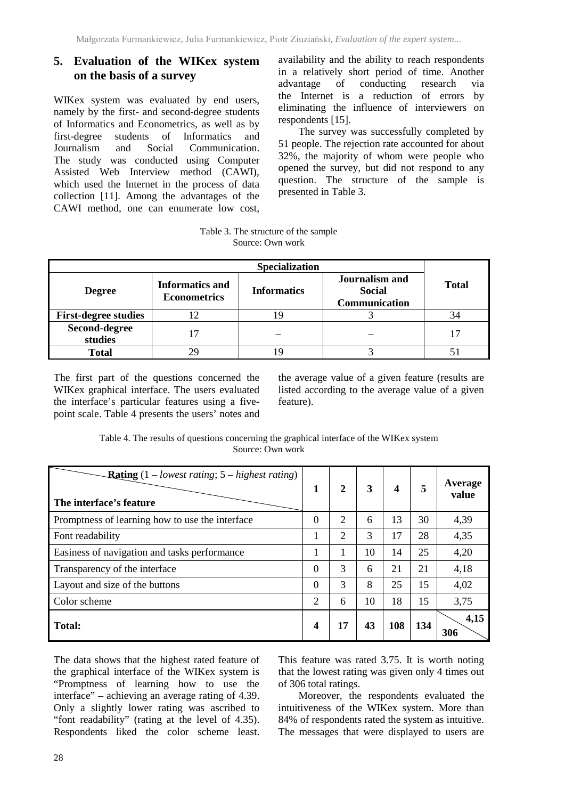#### **5. Evaluation of the WIKex system on the basis of a survey**

WIKex system was evaluated by end users, namely by the first- and second-degree students of Informatics and Econometrics, as well as by first-degree students of Informatics and Journalism and Social Communication. The study was conducted using Computer Assisted Web Interview method (CAWI), which used the Internet in the process of data collection [11]. Among the advantages of the CAWI method, one can enumerate low cost, availability and the ability to reach respondents in a relatively short period of time. Another advantage of conducting research via the Internet is a reduction of errors by eliminating the influence of interviewers on respondents [15].

The survey was successfully completed by 51 people. The rejection rate accounted for about 32%, the majority of whom were people who opened the survey, but did not respond to any question. The structure of the sample is presented in Table 3.

Table 3. The structure of the sample Source: Own work

| <b>Specialization</b>       |                                               |                    |                                                  |              |  |  |  |
|-----------------------------|-----------------------------------------------|--------------------|--------------------------------------------------|--------------|--|--|--|
| <b>Degree</b>               | <b>Informatics and</b><br><b>Econometrics</b> | <b>Informatics</b> | Journalism and<br><b>Social</b><br>Communication | <b>Total</b> |  |  |  |
| <b>First-degree studies</b> |                                               |                    |                                                  |              |  |  |  |
| Second-degree<br>studies    |                                               |                    |                                                  |              |  |  |  |
| <b>Total</b>                |                                               |                    |                                                  |              |  |  |  |

The first part of the questions concerned the WIKex graphical interface. The users evaluated the interface's particular features using a fivepoint scale. Table 4 presents the users' notes and

the average value of a given feature (results are listed according to the average value of a given feature).

Table 4. The results of questions concerning the graphical interface of the WIKex system Source: Own work

| <b>Rating</b> $(1 - lowest rating; 5 - highest rating)$<br>The interface's feature | 1              | $\overline{2}$ | 3  | 4   | 5   | Average<br>value |
|------------------------------------------------------------------------------------|----------------|----------------|----|-----|-----|------------------|
| Promptness of learning how to use the interface                                    | $\overline{0}$ | $\overline{2}$ | 6  | 13  | 30  | 4,39             |
| Font readability                                                                   | 1              | 2              | 3  | 17  | 28  | 4,35             |
| Easiness of navigation and tasks performance                                       | 1              | 1              | 10 | 14  | 25  | 4,20             |
| Transparency of the interface                                                      | $\overline{0}$ | 3              | 6  | 21  | 21  | 4,18             |
| Layout and size of the buttons                                                     | $\theta$       | 3              | 8  | 25  | 15  | 4,02             |
| Color scheme                                                                       | $\overline{2}$ | 6              | 10 | 18  | 15  | 3,75             |
| <b>Total:</b>                                                                      | 4              | 17             | 43 | 108 | 134 | 4,15<br>306      |

The data shows that the highest rated feature of the graphical interface of the WIKex system is "Promptness of learning how to use the interface" – achieving an average rating of 4.39. Only a slightly lower rating was ascribed to "font readability" (rating at the level of 4.35). Respondents liked the color scheme least.

This feature was rated 3.75. It is worth noting that the lowest rating was given only 4 times out of 306 total ratings.

Moreover, the respondents evaluated the intuitiveness of the WIKex system. More than 84% of respondents rated the system as intuitive. The messages that were displayed to users are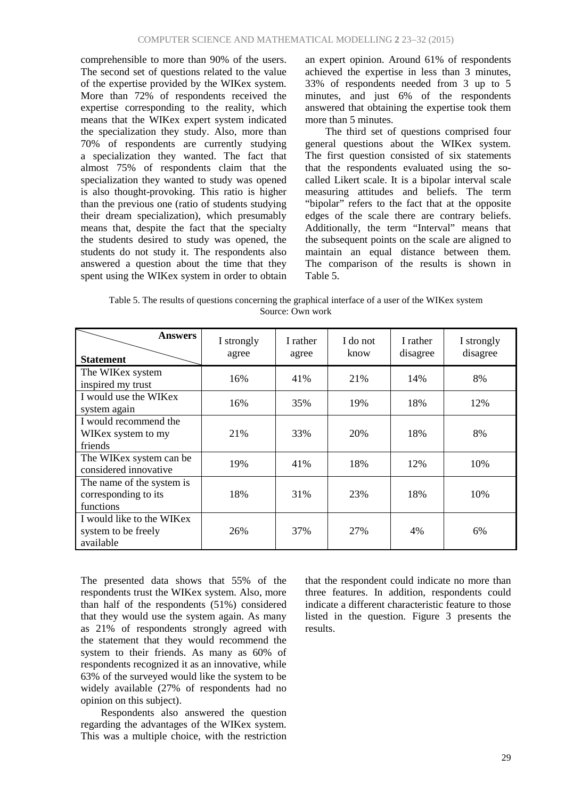comprehensible to more than 90% of the users. The second set of questions related to the value of the expertise provided by the WIKex system. More than 72% of respondents received the expertise corresponding to the reality, which means that the WIKex expert system indicated the specialization they study. Also, more than 70% of respondents are currently studying a specialization they wanted. The fact that almost 75% of respondents claim that the specialization they wanted to study was opened is also thought-provoking. This ratio is higher than the previous one (ratio of students studying their dream specialization), which presumably means that, despite the fact that the specialty the students desired to study was opened, the students do not study it. The respondents also answered a question about the time that they spent using the WIKex system in order to obtain an expert opinion. Around 61% of respondents achieved the expertise in less than 3 minutes, 33% of respondents needed from 3 up to 5 minutes, and just 6% of the respondents answered that obtaining the expertise took them more than 5 minutes.

The third set of questions comprised four general questions about the WIKex system. The first question consisted of six statements that the respondents evaluated using the socalled Likert scale. It is a bipolar interval scale measuring attitudes and beliefs. The term "bipolar" refers to the fact that at the opposite edges of the scale there are contrary beliefs. Additionally, the term "Interval" means that the subsequent points on the scale are aligned to maintain an equal distance between them. The comparison of the results is shown in Table 5.

Table 5. The results of questions concerning the graphical interface of a user of the WIKex system Source: Own work

| <b>Answers</b><br><b>Statement</b>                             | I strongly<br>agree | I rather<br>agree | I do not<br>know | I rather<br>disagree | I strongly<br>disagree |
|----------------------------------------------------------------|---------------------|-------------------|------------------|----------------------|------------------------|
| The WIKex system<br>inspired my trust                          | 16%                 | 41%               | 21%              | 14%                  | 8%                     |
| I would use the WIKex<br>system again                          | 16%                 | 35%               | 19%              | 18%                  | 12%                    |
| I would recommend the<br>WIKex system to my<br>friends         | 21\%                | 33%               | 20%              | 18%                  | 8%                     |
| The WIKex system can be<br>considered innovative               | 19%                 | 41%               | 18%              | 12%                  | 10%                    |
| The name of the system is<br>corresponding to its<br>functions | 18%                 | 31%               | 23%              | 18%                  | 10%                    |
| I would like to the WIKex<br>system to be freely<br>available  | 26%                 | 37%               | 27%              | 4%                   | 6%                     |

The presented data shows that 55% of the respondents trust the WIKex system. Also, more than half of the respondents (51%) considered that they would use the system again. As many as 21% of respondents strongly agreed with the statement that they would recommend the system to their friends. As many as 60% of respondents recognized it as an innovative, while 63% of the surveyed would like the system to be widely available (27% of respondents had no opinion on this subject).

Respondents also answered the question regarding the advantages of the WIKex system. This was a multiple choice, with the restriction

that the respondent could indicate no more than three features. In addition, respondents could indicate a different characteristic feature to those listed in the question. Figure 3 presents the results.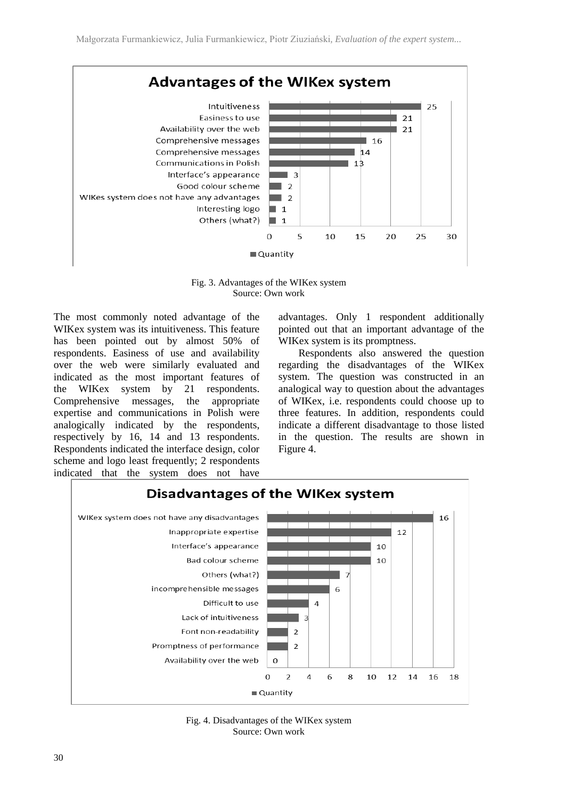

Fig. 3. Advantages of the WIKex system Source: Own work

The most commonly noted advantage of the WIKex system was its intuitiveness. This feature has been pointed out by almost 50% of respondents. Easiness of use and availability over the web were similarly evaluated and indicated as the most important features of the WIKex system by 21 respondents. Comprehensive messages, the appropriate expertise and communications in Polish were analogically indicated by the respondents, respectively by 16, 14 and 13 respondents. Respondents indicated the interface design, color scheme and logo least frequently; 2 respondents indicated that the system does not have

advantages. Only 1 respondent additionally pointed out that an important advantage of the WIKex system is its promptness.

Respondents also answered the question regarding the disadvantages of the WIKex system. The question was constructed in an analogical way to question about the advantages of WIKex, i.e. respondents could choose up to three features. In addition, respondents could indicate a different disadvantage to those listed in the question. The results are shown in Figure 4.



Fig. 4. Disadvantages of the WIKex system Source: Own work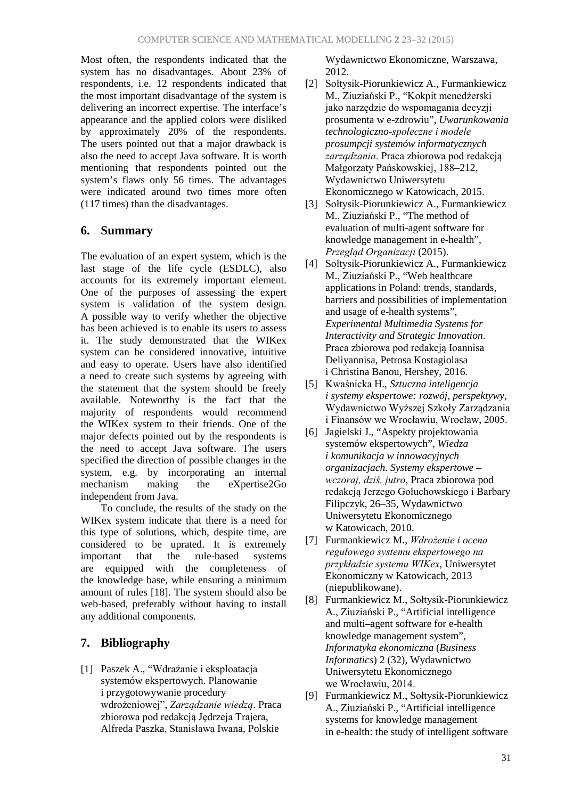Most often, the respondents indicated that the system has no disadvantages. About 23% of respondents, i.e. 12 respondents indicated that the most important disadvantage of the system is delivering an incorrect expertise. The interface's appearance and the applied colors were disliked by approximately 20% of the respondents. The users pointed out that a major drawback is also the need to accept Java software. It is worth mentioning that respondents pointed out the system's flaws only 56 times. The advantages were indicated around two times more often (117 times) than the disadvantages.

## **6. Summary**

The evaluation of an expert system, which is the last stage of the life cycle (ESDLC), also accounts for its extremely important element. One of the purposes of assessing the expert system is validation of the system design. A possible way to verify whether the objective has been achieved is to enable its users to assess it. The study demonstrated that the WIKex system can be considered innovative, intuitive and easy to operate. Users have also identified a need to create such systems by agreeing with the statement that the system should be freely available. Noteworthy is the fact that the majority of respondents would recommend the WIKex system to their friends. One of the major defects pointed out by the respondents is the need to accept Java software. The users specified the direction of possible changes in the system, e.g. by incorporating an internal mechanism making the eXpertise2Go independent from Java.

To conclude, the results of the study on the WIKex system indicate that there is a need for this type of solutions, which, despite time, are considered to be uprated. It is extremely important that the rule-based systems are equipped with the completeness of the knowledge base, while ensuring a minimum amount of rules [18]. The system should also be web-based, preferably without having to install any additional components.

## **7. Bibliography**

[1] Paszek A., "Wdrażanie i eksploatacja systemów ekspertowych. Planowanie i przygotowywanie procedury wdrożeniowej", *Zarządzanie wiedzą*. Praca zbiorowa pod redakcją Jędrzeja Trajera, Alfreda Paszka, Stanisława Iwana, Polskie

Wydawnictwo Ekonomiczne, Warszawa, 2012.

- [2] Sołtysik-Piorunkiewicz A., Furmankiewicz M., Ziuziański P., "Kokpit menedżerski jako narzędzie do wspomagania decyzji prosumenta w e-zdrowiu", *Uwarunkowania technologiczno-społeczne i modele prosumpcji systemów informatycznych zarządzania*. Praca zbiorowa pod redakcją Małgorzaty Pańskowskiej, 188–212, Wydawnictwo Uniwersytetu Ekonomicznego w Katowicach, 2015.
- [3] Sołtysik-Piorunkiewicz A., Furmankiewicz M., Ziuziański P., "The method of evaluation of multi-agent software for knowledge management in e-health", *Przegląd Organizacji* (2015).
- [4] Sołtysik-Piorunkiewicz A., Furmankiewicz M., Ziuziański P., "Web healthcare applications in Poland: trends, standards, barriers and possibilities of implementation and usage of e-health systems", *Experimental Multimedia Systems for Interactivity and Strategic Innovation*. Praca zbiorowa pod redakcją Ioannisa Deliyannisa, Petrosa Kostagiolasa i Christina Banou, Hershey, 2016.
- [5] Kwaśnicka H., *Sztuczna inteligencja i systemy ekspertowe: rozwój, perspektywy*, Wydawnictwo Wyższej Szkoły Zarządzania i Finansów we Wrocławiu, Wrocław, 2005.
- [6] Jagielski J., "Aspekty projektowania systemów ekspertowych", *Wiedza i komunikacja w innowacyjnych organizacjach. Systemy ekspertowe – wczoraj, dziś, jutro*, Praca zbiorowa pod redakcją Jerzego Gołuchowskiego i Barbary Filipczyk, 26–35, Wydawnictwo Uniwersytetu Ekonomicznego w Katowicach, 2010.
- [7] Furmankiewicz M., *Wdrożenie i ocena regułowego systemu ekspertowego na przykładzie systemu WIKex*, Uniwersytet Ekonomiczny w Katowicach, 2013 (niepublikowane).
- [8] Furmankiewicz M., Sołtysik-Piorunkiewicz A., Ziuziański P., "Artificial intelligence and multi–agent software for e-health knowledge management system", *Informatyka ekonomiczna* (*Business Informatics*) 2 (32), Wydawnictwo Uniwersytetu Ekonomicznego we Wrocławiu, 2014.
- [9] Furmankiewicz M., Sołtysik-Piorunkiewicz A., Ziuziański P., "Artificial intelligence systems for knowledge management in e-health: the study of intelligent software